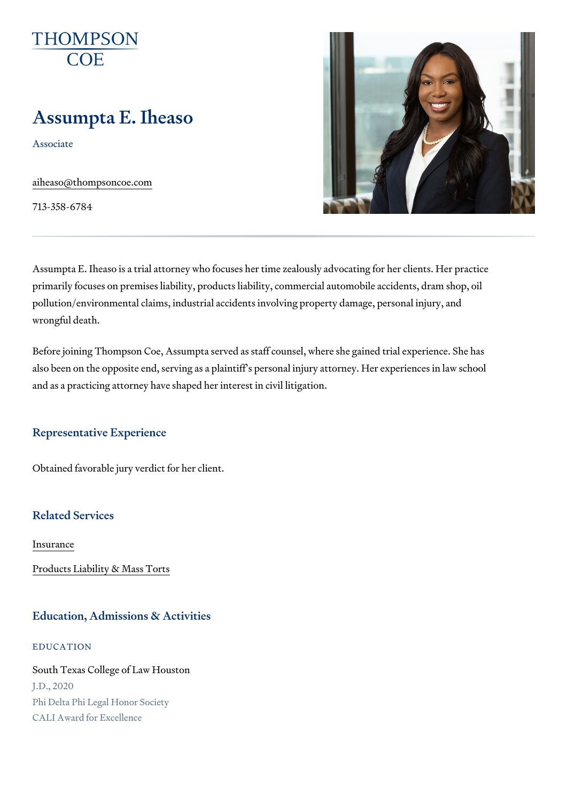# Assumpta E. Iheaso

Associate

[aiheaso@thompso](mailto:aiheaso@thompsoncoe.com)ncoe.com

713-358-6784

Assumpta E. Iheaso is a trial attorney who focuses her time zealously advo primarily focuses on premises liability, products liability, commercial auto pollution/environmental claims, industrial accidents involving property dam wrongful death.

Before joining Thompson Coe, Assumpta served as staff counsel, where sh also been on the opposite end, serving as a plaintiff s personal injury atto and as a practicing attorney have shaped her interest in civil litigation.

#### Representative Experience

Obtained favorable jury verdict for her client.

#### Related Services

[Insura](https://www.thompsoncoe.com/people/assumpta-e-iheaso/)nce

[Products Liability &](https://www.thompsoncoe.com/people/assumpta-e-iheaso/) Mass Torts

#### Education, Admissions & Activities

EDUCATION

South Texas College of Law Houston J.D., 2020 Phi Delta Phi Legal Honor Society CALI Award for Excellence